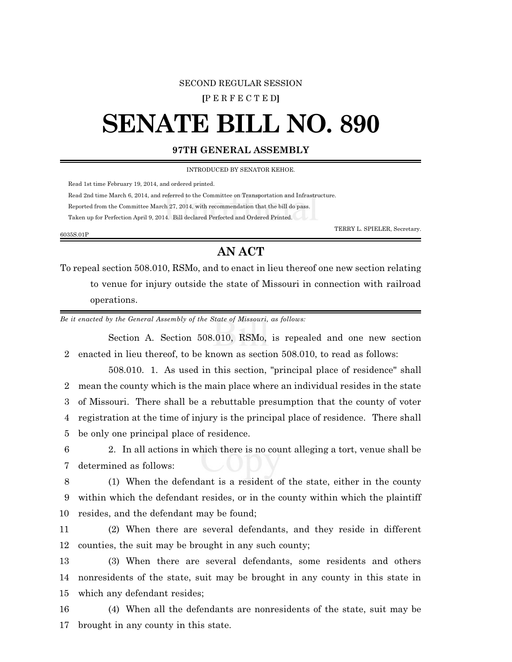## SECOND REGULAR SESSION

**[**P E R F E C T E D**]**

## **SENATE BILL NO. 890**

## **97TH GENERAL ASSEMBLY**

INTRODUCED BY SENATOR KEHOE.

Read 1st time February 19, 2014, and ordered printed.

Read 2nd time March 6, 2014, and referred to the Committee on Transportation and Infrastructure.

Reported from the Committee March 27, 2014, with recommendation that the bill do pass.

Taken up for Perfection April 9, 2014. Bill declared Perfected and Ordered Printed.

6035S.01P

TERRY L. SPIELER, Secretary.

## **AN ACT**

To repeal section 508.010, RSMo, and to enact in lieu thereof one new section relating to venue for injury outside the state of Missouri in connection with railroad operations.

*Be it enacted by the General Assembly of the State of Missouri, as follows:*

Section A. Section 508.010, RSMo, is repealed and one new section 2 enacted in lieu thereof, to be known as section 508.010, to read as follows:

508.010. 1. As used in this section, "principal place of residence" shall mean the county which is the main place where an individual resides in the state of Missouri. There shall be a rebuttable presumption that the county of voter registration at the time of injury is the principal place of residence. There shall be only one principal place of residence.

6 2. In all actions in which there is no count alleging a tort, venue shall be 7 determined as follows:

8 (1) When the defendant is a resident of the state, either in the county 9 within which the defendant resides, or in the county within which the plaintiff 10 resides, and the defendant may be found;

11 (2) When there are several defendants, and they reside in different 12 counties, the suit may be brought in any such county;

13 (3) When there are several defendants, some residents and others 14 nonresidents of the state, suit may be brought in any county in this state in 15 which any defendant resides;

16 (4) When all the defendants are nonresidents of the state, suit may be 17 brought in any county in this state.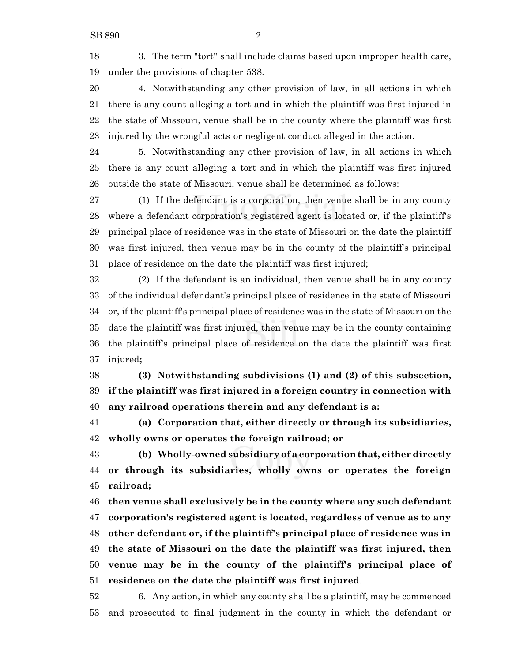3. The term "tort" shall include claims based upon improper health care, under the provisions of chapter 538.

 4. Notwithstanding any other provision of law, in all actions in which there is any count alleging a tort and in which the plaintiff was first injured in the state of Missouri, venue shall be in the county where the plaintiff was first injured by the wrongful acts or negligent conduct alleged in the action.

 5. Notwithstanding any other provision of law, in all actions in which there is any count alleging a tort and in which the plaintiff was first injured outside the state of Missouri, venue shall be determined as follows:

 (1) If the defendant is a corporation, then venue shall be in any county where a defendant corporation's registered agent is located or, if the plaintiff's principal place of residence was in the state of Missouri on the date the plaintiff was first injured, then venue may be in the county of the plaintiff's principal place of residence on the date the plaintiff was first injured;

 (2) If the defendant is an individual, then venue shall be in any county of the individual defendant's principal place of residence in the state of Missouri or, if the plaintiff's principal place of residence was in the state of Missouri on the date the plaintiff was first injured, then venue may be in the county containing the plaintiff's principal place of residence on the date the plaintiff was first injured**;**

 **(3) Notwithstanding subdivisions (1) and (2) of this subsection, if the plaintiff was first injured in a foreign country in connection with any railroad operations therein and any defendant is a:**

 **(a) Corporation that, either directly or through its subsidiaries, wholly owns or operates the foreign railroad; or**

 **(b) Wholly-owned subsidiary of a corporationthat, either directly or through its subsidiaries, wholly owns or operates the foreign railroad;**

 **then venue shall exclusively be in the county where any such defendant corporation's registered agent is located, regardless of venue as to any other defendant or, if the plaintiff's principal place of residence was in the state of Missouri on the date the plaintiff was first injured, then venue may be in the county of the plaintiff's principal place of residence on the date the plaintiff was first injured**.

 6. Any action, in which any county shall be a plaintiff, may be commenced and prosecuted to final judgment in the county in which the defendant or